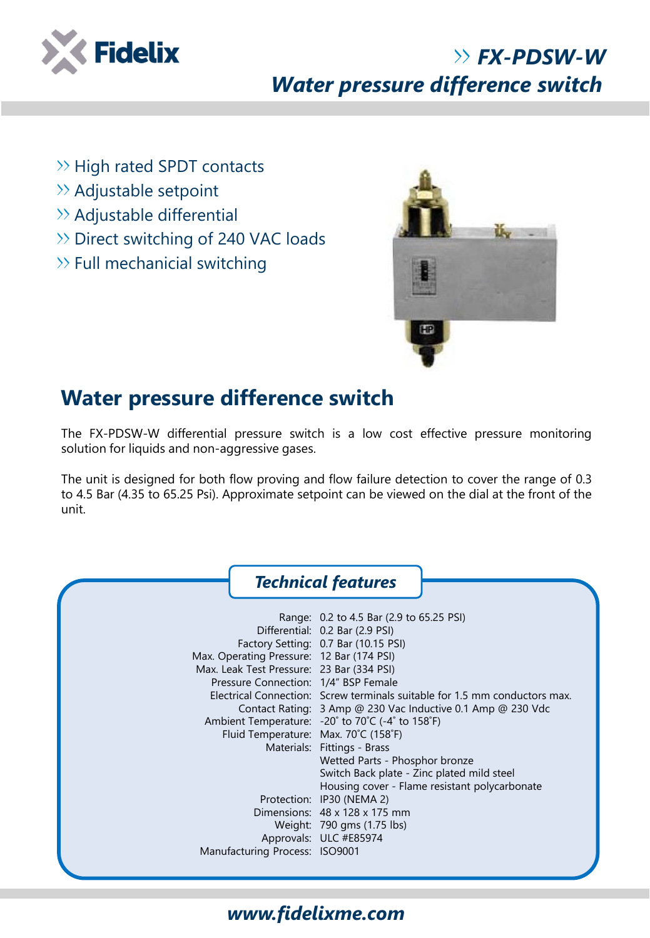

# *FX-PDSW-W Water pressure difference switch*

- $\rightarrow$  High rated SPDT contacts
- >> Adjustable setpoint
- $\rightarrow$  Adjustable differential
- >> Direct switching of 240 VAC loads
- $\gg$  Full mechanicial switching



### **Water pressure difference switch**

The FX-PDSW-W differential pressure switch is a low cost effective pressure monitoring solution for liquids and non-aggressive gases.

The unit is designed for both flow proving and flow failure detection to cover the range of 0.3 to 4.5 Bar (4.35 to 65.25 Psi). Approximate setpoint can be viewed on the dial at the front of the unit.

|                                                                                                                                                                        | <b>Technical features</b>                                                                                                                                                                                                                                                                                                                                                                                                                                                                                                                                                                                                                                       |
|------------------------------------------------------------------------------------------------------------------------------------------------------------------------|-----------------------------------------------------------------------------------------------------------------------------------------------------------------------------------------------------------------------------------------------------------------------------------------------------------------------------------------------------------------------------------------------------------------------------------------------------------------------------------------------------------------------------------------------------------------------------------------------------------------------------------------------------------------|
| Max. Operating Pressure: 12 Bar (174 PSI)<br>Max. Leak Test Pressure: 23 Bar (334 PSI)<br>Pressure Connection: 1/4" BSP Female<br>Fluid Temperature: Max. 70°C (158°F) | Range: 0.2 to 4.5 Bar (2.9 to 65.25 PSI)<br>Differential: 0.2 Bar (2.9 PSI)<br>Factory Setting: 0.7 Bar (10.15 PSI)<br>Electrical Connection: Screw terminals suitable for 1.5 mm conductors max.<br>Contact Rating: 3 Amp @ 230 Vac Inductive 0.1 Amp @ 230 Vdc<br>Ambient Temperature: $-20^{\circ}$ to 70 $^{\circ}$ C (-4 $^{\circ}$ to 158 $^{\circ}$ F)<br>Materials: Fittings - Brass<br>Wetted Parts - Phosphor bronze<br>Switch Back plate - Zinc plated mild steel<br>Housing cover - Flame resistant polycarbonate<br>Protection: IP30 (NEMA 2)<br>Dimensions: $48 \times 128 \times 175$ mm<br>Weight: 790 gms (1.75 lbs)<br>Approvals: ULC #E85974 |
| Manufacturing Process: ISO9001                                                                                                                                         |                                                                                                                                                                                                                                                                                                                                                                                                                                                                                                                                                                                                                                                                 |

#### *www.fidelixme.com*